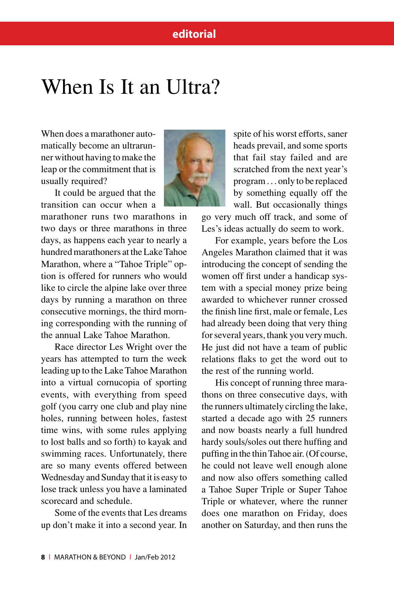## **editorial**

## When Is It an Ultra?

When does a marathoner automatically become an ultrarunner without having to make the leap or the commitment that is usually required?



It could be argued that the transition can occur when a

marathoner runs two marathons in two days or three marathons in three days, as happens each year to nearly a hundred marathoners at the Lake Tahoe Marathon, where a "Tahoe Triple" option is offered for runners who would like to circle the alpine lake over three days by running a marathon on three consecutive mornings, the third morning corresponding with the running of the annual Lake Tahoe Marathon.

Race director Les Wright over the years has attempted to turn the week leading up to the Lake Tahoe Marathon into a virtual cornucopia of sporting events, with everything from speed golf (you carry one club and play nine holes, running between holes, fastest time wins, with some rules applying to lost balls and so forth) to kayak and swimming races. Unfortunately, there are so many events offered between Wednesday and Sunday that it is easy to lose track unless you have a laminated scorecard and schedule.

Some of the events that Les dreams up don't make it into a second year. In

spite of his worst efforts, saner heads prevail, and some sports that fail stay failed and are scratched from the next year's program . . . only to be replaced by something equally off the wall. But occasionally things

go very much off track, and some of Les's ideas actually do seem to work.

For example, years before the Los Angeles Marathon claimed that it was introducing the concept of sending the women off first under a handicap system with a special money prize being awarded to whichever runner crossed the finish line first, male or female, Les had already been doing that very thing for several years, thank you very much. He just did not have a team of public relations flaks to get the word out to the rest of the running world.

His concept of running three marathons on three consecutive days, with the runners ultimately circling the lake, started a decade ago with 25 runners and now boasts nearly a full hundred hardy souls/soles out there huffing and puffing in the thin Tahoe air. (Of course, he could not leave well enough alone and now also offers something called a Tahoe Super Triple or Super Tahoe Triple or whatever, where the runner does one marathon on Friday, does another on Saturday, and then runs the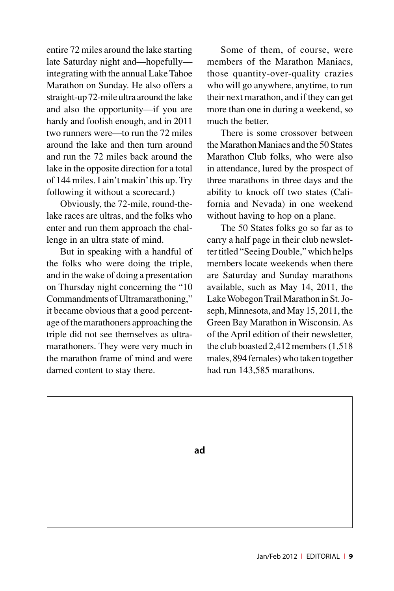entire 72 miles around the lake starting late Saturday night and—hopefully integrating with the annual Lake Tahoe Marathon on Sunday. He also offers a straight-up 72-mile ultra around the lake and also the opportunity—if you are hardy and foolish enough, and in 2011 two runners were—to run the 72 miles around the lake and then turn around and run the 72 miles back around the lake in the opposite direction for a total of 144 miles. I ain't makin' this up. Try following it without a scorecard.)

Obviously, the 72-mile, round-thelake races are ultras, and the folks who enter and run them approach the challenge in an ultra state of mind.

But in speaking with a handful of the folks who were doing the triple, and in the wake of doing a presentation on Thursday night concerning the "10 Commandments of Ultramarathoning," it became obvious that a good percentage of the marathoners approaching the triple did not see themselves as ultramarathoners. They were very much in the marathon frame of mind and were darned content to stay there.

Some of them, of course, were members of the Marathon Maniacs, those quantity-over-quality crazies who will go anywhere, anytime, to run their next marathon, and if they can get more than one in during a weekend, so much the better.

There is some crossover between the Marathon Maniacs and the 50 States Marathon Club folks, who were also in attendance, lured by the prospect of three marathons in three days and the ability to knock off two states (California and Nevada) in one weekend without having to hop on a plane.

The 50 States folks go so far as to carry a half page in their club newsletter titled "Seeing Double," which helps members locate weekends when there are Saturday and Sunday marathons available, such as May 14, 2011, the Lake Wobegon Trail Marathon in St. Joseph, Minnesota, and May 15, 2011, the Green Bay Marathon in Wisconsin. As of the April edition of their newsletter, the club boasted 2,412 members (1,518 males, 894 females) who taken together had run 143,585 marathons.

**ad**